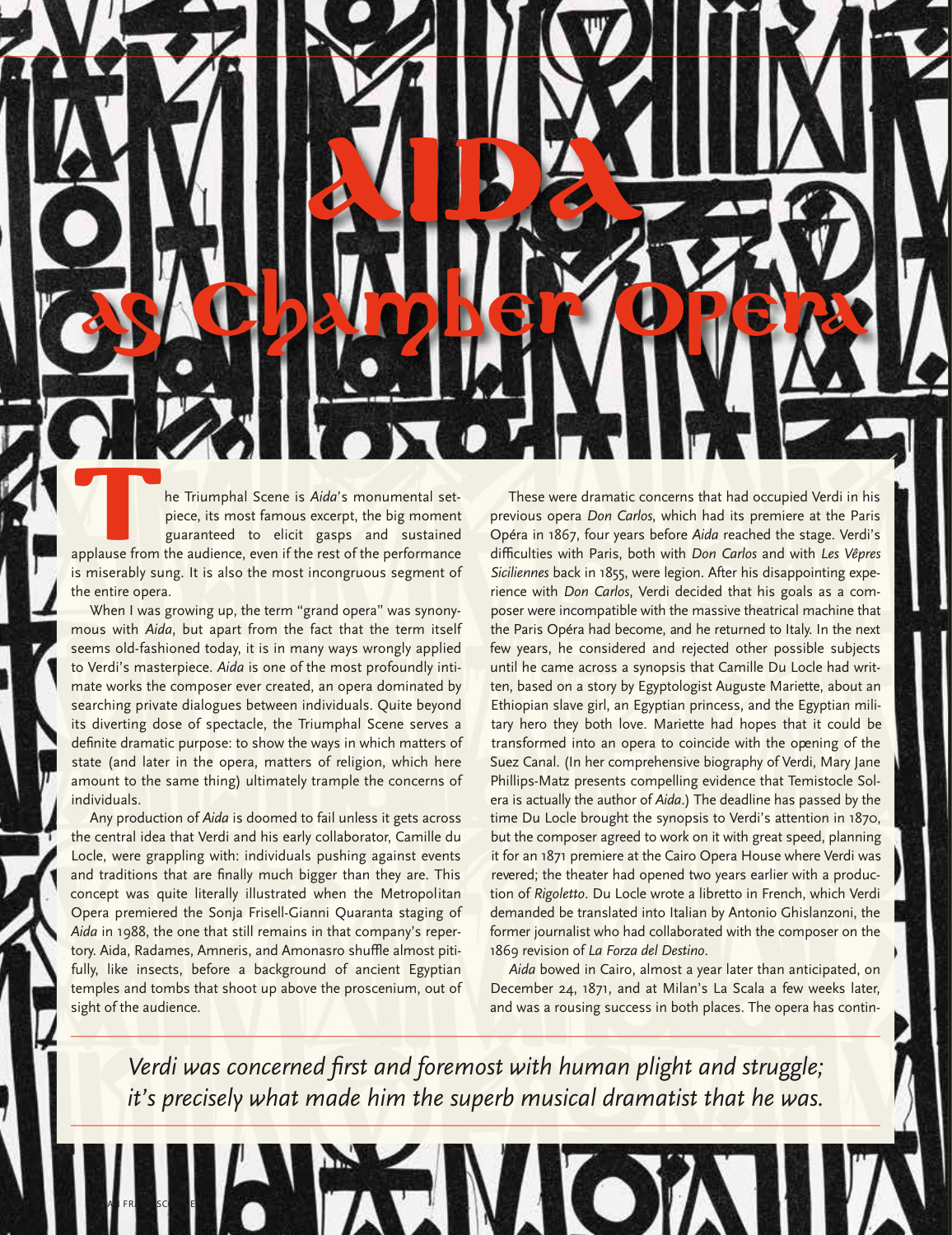The Triumphal Scene is *Aida*'s monumental set-<br>piece, its most famous excerpt, the big moment<br>guaranteed to elicit gasps and sustained<br>applause from the audience, even if the rest of the performance<br>is miserably sume It i piece, its most famous excerpt, the big moment guaranteed to elicit gasps and sustained applause from the audience, even if the rest of the performance is miserably sung. It is also the most incongruous segment of the entire opera.

When I was growing up, the term "grand opera" was synonymous with *Aida*, but apart from the fact that the term itself seems old-fashioned today, it is in many ways wrongly applied to Verdi's masterpiece. *Aida* is one of the most profoundly intimate works the composer ever created, an opera dominated by searching private dialogues between individuals. Quite beyond its diverting dose of spectacle, the Triumphal Scene serves a definite dramatic purpose: to show the ways in which matters of state (and later in the opera, matters of religion, which here amount to the same thing) ultimately trample the concerns of individuals.

Any production of *Aida* is doomed to fail unless it gets across the central idea that Verdi and his early collaborator, Camille du Locle, were grappling with: individuals pushing against events and traditions that are finally much bigger than they are. This concept was quite literally illustrated when the Metropolitan Opera premiered the Sonja Frisell-Gianni Quaranta staging of *Aida* in 1988, the one that still remains in that company's repertory. Aida, Radames, Amneris, and Amonasro shuffle almost pitifully, like insects, before a background of ancient Egyptian temples and tombs that shoot up above the proscenium, out of sight of the audience.

**40** SAN FRANCISCO OPERA

These were dramatic concerns that had occupied Verdi in his previous opera *Don Carlos*, which had its premiere at the Paris Opéra in 1867, four years before *Aida* reached the stage. Verdi's difficulties with Paris, both with *Don Carlos* and with *Les Vêpres Siciliennes* back in 1855, were legion. After his disappointing experience with *Don Carlos*, Verdi decided that his goals as a composer were incompatible with the massive theatrical machine that the Paris Opéra had become, and he returned to Italy. In the next few years, he considered and rejected other possible subjects until he came across a synopsis that Camille Du Locle had written, based on a story by Egyptologist Auguste Mariette, about an Ethiopian slave girl, an Egyptian princess, and the Egyptian military hero they both love. Mariette had hopes that it could be transformed into an opera to coincide with the opening of the Suez Canal. (In her comprehensive biography of Verdi, Mary Jane Phillips-Matz presents compelling evidence that Temistocle Solera is actually the author of *Aida*.) The deadline has passed by the time Du Locle brought the synopsis to Verdi's attention in 1870, but the composer agreed to work on it with great speed, planning it for an 1871 premiere at the Cairo Opera House where Verdi was revered; the theater had opened two years earlier with a production of *Rigoletto*. Du Locle wrote a libretto in French, which Verdi demanded be translated into Italian by Antonio Ghislanzoni, the former journalist who had collaborated with the composer on the 1869 revision of *La Forza del Destino*.

*Aida* bowed in Cairo, almost a year later than anticipated, on December 24, 1871, and at Milan's La Scala a few weeks later, and was a rousing success in both places. The opera has contin-

*Verdi was concerned first and foremost with human plight and struggle; it's precisely what made him the superb musical dramatist that he was.*

**AIDA** 

as Kopking Reference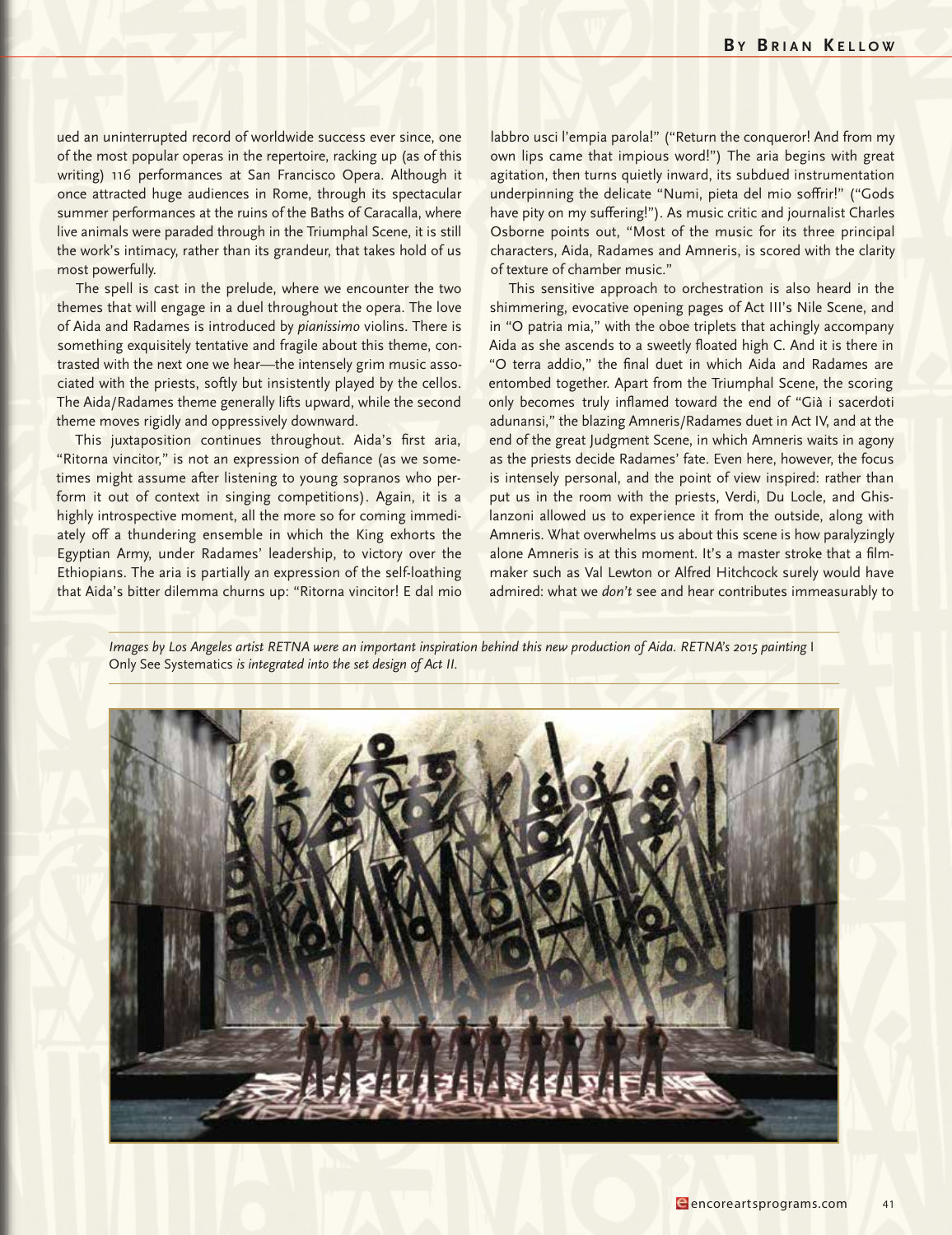ued an uninterrupted record of worldwide success ever since, one of the most popular operas in the repertoire, racking up (as of this writing) 116 performances at San Francisco Opera. Although it once attracted huge audiences in Rome, through its spectacular summer performances at the ruins of the Baths of Caracalla, where live animals were paraded through in the Triumphal Scene, it is still the work's intimacy, rather than its grandeur, that takes hold of us most powerfully.

The spell is cast in the prelude, where we encounter the two themes that will engage in a duel throughout the opera. The love of Aida and Radames is introduced by *pianissimo* violins. There is something exquisitely tentative and fragile about this theme, contrasted with the next one we hear—the intensely grim music associated with the priests, softly but insistently played by the cellos. The Aida/Radames theme generally lifts upward, while the second theme moves rigidly and oppressively downward.

This juxtaposition continues throughout. Aida's first aria, "Ritorna vincitor," is not an expression of defiance (as we sometimes might assume after listening to young sopranos who perform it out of context in singing competitions). Again, it is a highly introspective moment, all the more so for coming immediately off a thundering ensemble in which the King exhorts the Egyptian Army, under Radames' leadership, to victory over the Ethiopians. The aria is partially an expression of the self-loathing that Aida's bitter dilemma churns up: "Ritorna vincitor! E dal mio

labbro usci l'empia parola!" ("Return the conqueror! And from my own lips came that impious word!") The aria begins with great agitation, then turns quietly inward, its subdued instrumentation underpinning the delicate "Numi, pieta del mio soffrir!" ("Gods have pity on my suffering!"). As music critic and journalist Charles Osborne points out, "Most of the music for its three principal characters, Aida, Radames and Amneris, is scored with the clarity of texture of chamber music."

This sensitive approach to orchestration is also heard in the shimmering, evocative opening pages of Act III's Nile Scene, and in "O patria mia," with the oboe triplets that achingly accompany Aida as she ascends to a sweetly floated high C. And it is there in "O terra addio," the final duet in which Aida and Radames are entombed together. Apart from the Triumphal Scene, the scoring only becomes truly inflamed toward the end of "Già i sacerdoti adunansi," the blazing Amneris/Radames duet in Act IV, and at the end of the great Judgment Scene, in which Amneris waits in agony as the priests decide Radames' fate. Even here, however, the focus is intensely personal, and the point of view inspired: rather than put us in the room with the priests, Verdi, Du Locle, and Ghislanzoni allowed us to experience it from the outside, along with Amneris. What overwhelms us about this scene is how paralyzingly alone Amneris is at this moment. It's a master stroke that a filmmaker such as Val Lewton or Alfred Hitchcock surely would have admired: what we *don't* see and hear contributes immeasurably to

Images by Los Angeles artist RETNA were an important inspiration behind this new production of Aida. RETNA's 2015 painting I Only See Systematics *is integrated into the set design of Act II.*